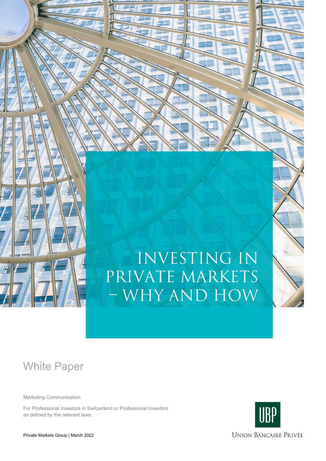

# Investing in private markets – why and how

# White Paper

Marketing Communication

For Professional Investors in Switzerland or Professional Investors as defined by the relevant laws.

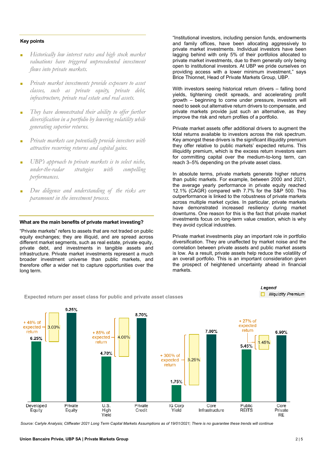# **Key points**

- **■** *Historically low interest rates and high stock market valuations have triggered unprecedented investment flows into private markets.*
- **■** *Private market investments provide exposure to asset classes, such as private equity, private debt, infrastructure, private real estate and real assets.*
- **■** *They have demonstrated their ability to offer further diversification in a portfolio by lowering volatility while generating superior returns.*
- **■** *Private markets can potentially provide investors with attractive recurring returns and capital gains.*
- **■** *UBP's approach to private markets is to select niche, under-the-radar strategies with compelling performances.*
- **■** *Due diligence and understanding of the risks are paramount in the investment process.*

# **What are the main benefits of private market investing?**

"Private markets" refers to assets that are not traded on public equity exchanges; they are illiquid, and are spread across different market segments, such as real estate, private equity, private debt, and investments in tangible assets and infrastructure. Private market investments represent a much broader investment universe than public markets, and therefore offer a wider net to capture opportunities over the long term.

**Expected return per asset class for public and private asset classes**

"Institutional investors, including pension funds, endowments and family offices, have been allocating aggressively to private market investments. Individual investors have been lagging behind with only 5% of their portfolios allocated to private market investments, due to them generally only being open to institutional investors. At UBP we pride ourselves on providing access with a lower minimum investment," says Brice Thionnet, Head of Private Markets Group, UBP.

With investors seeing historical return drivers – falling bond yields, tightening credit spreads, and accelerating profit growth – beginning to come under pressure, investors will need to seek out alternative return drivers to compensate, and private markets provide just such an alternative, as they improve the risk and return profiles of a portfolio.

Private market assets offer additional drivers to augment the total returns available to investors across the risk spectrum. Key amongst these drivers is the significant illiquidity premium they offer relative to public markets' expected returns. This illiquidity premium, which is the excess return investors earn for committing capital over the medium-to-long term, can reach 3–5% depending on the private asset class.

In absolute terms, private markets generate higher returns than public markets. For example, between 2000 and 2021, the average yearly performance in private equity reached 12.1% (CAGR) compared with 7.7% for the S&P 500. This outperformance is linked to the robustness of private markets across multiple market cycles. In particular, private markets have demonstrated increased resiliency during market downturns. One reason for this is the fact that private market investments focus on long-term value creation, which is why they avoid cyclical industries.

Private market investments play an important role in portfolio diversification. They are unaffected by market noise and the correlation between private assets and public market assets is low. As a result, private assets help reduce the volatility of an overall portfolio. This is an important consideration given the prospect of heightened uncertainty ahead in financial markets.

Legend

 $\Box$  Illiquidity Premium



*Source: Carlyle Analysis; Cliffwater 2021 Long Term Capital Markets Assumptions as of 19/01/2021; There is no guarantee these trends will continue*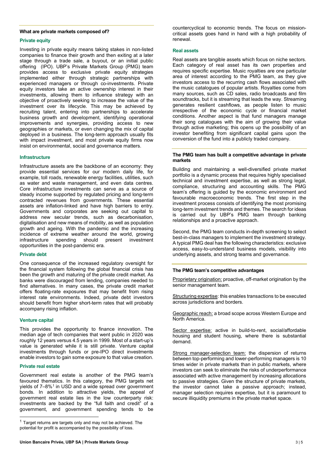# **What are private markets composed of?**

# **Private equity**

Investing in private equity means taking stakes in non-listed companies to finance their growth and then exiting at a later stage through a trade sale, a buyout, or an initial public offering (IPO). UBP's Private Markets Group (PMG) team provides access to exclusive private equity strategies implemented either through strategic partnerships with experienced managers or through co-investments. Private equity investors take an active ownership interest in their investments, allowing them to influence strategy with an objective of proactively seeking to increase the value of the investment over its lifecycle. This may be achieved by recruiting talent, entering into partnerships to accelerate business growth and development, identifying operational improvements and synergies, providing access to new geographies or markets, or even changing the mix of capital deployed in a business. The long-term approach usually fits with impact investment, and most private equity firms now insist on environmental, social and governance matters.

# **Infrastructure**

Infrastructure assets are the backbone of an economy: they provide essential services for our modern daily life, for example, toll roads, renewable energy facilities, utilities, such as water and waste management, and even data centres. Core infrastructure investments can serve as a source of steady income supported by regulated pricing and long-term contracted revenues from governments. These essential assets are inflation-linked and have high barriers to entry. Governments and corporates are seeking out capital to address new secular trends, such as decarbonisation, digitalisation and new means of mobility, as well as population growth and ageing. With the pandemic and the increasing incidence of extreme weather around the world, growing infrastructure spending should present investment opportunities in the post-pandemic era.

# **Private debt**

One consequence of the increased regulatory oversight for the financial system following the global financial crisis has been the growth and maturing of the private credit market. As banks were discouraged from lending, companies needed to find alternatives. In many cases, the private credit market offers floating-rate exposures that may benefit from rising interest rate environments. Indeed, private debt investors should benefit from higher short-term rates that will probably accompany rising inflation.

#### **Venture capital**

This provides the opportunity to finance innovation. The median age of tech companies that went public in 2020 was roughly 12 years versus 4.5 years in 1999. Most of a start-up's value is generated while it is still private. Venture capital investments through funds or pre-IPO direct investments enable investors to gain some exposure to that value creation.

# **Private real estate**

Government real estate is another of the PMG team's favoured thematics. In this category, the PMG targets net yields of 7–8%<sup>[1](#page-2-0)</sup> in USD and a wide spread over government bonds. In addition to attractive yields, the appeal of government real estate lies in the low counterparty risk: investments are backed by the "full faith and credit" of a government, and government spending tends to be

countercyclical to economic trends. The focus on missioncritical assets goes hand in hand with a high probability of renewal.

# **Real assets**

Real assets are tangible assets which focus on niche sectors. Each category of real asset has its own properties and requires specific expertise. Music royalties are one particular area of interest according to the PMG team, as they give investors access to the recurring cash flows associated with the music catalogues of popular artists. Royalties come from many sources, such as CD sales, radio broadcasts and film soundtracks, but it is streaming that leads the way. Streaming generates resilient cashflows, as people listen to music irrespective of the economic cycle or financial market conditions. Another aspect is that fund managers manage their song catalogues with the aim of growing their value through active marketing; this opens up the possibility of an investor benefiting from significant capital gains upon the conversion of the fund into a publicly traded company.

# **The PMG team has built a competitive advantage in private markets**

Building and maintaining a well-diversified private market portfolio is a dynamic process that requires highly specialised technical and investment expertise, as well as strong legal, compliance, structuring and accounting skills. The PMG team's offering is guided by the economic environment and favourable macroeconomic trends. The first step in the investment process consists of identifying the most promising long-term investment trends and themes. The search for ideas is carried out by UBP's PMG team through banking relationships and a proactive approach.

Second, the PMG team conducts in-depth screening to select best-in-class managers to implement the investment strategy. A typical PMG deal has the following characteristics: exclusive access, easy-to-understand business models, visibility into underlying assets, and strong teams and governance.

#### **The PMG team's competitive advantages**

Proprietary origination: proactive, off-market origination by the senior management team.

Structuring expertise: this enables transactions to be executed across jurisdictions and borders.

Geographic reach: a broad scope across Western Europe and North America.

Sector expertise: active in build-to-rent, social/affordable housing and student housing, where there is substantial demand.

Strong manager-selection team: the dispersion of returns between top-performing and lower-performing managers is 10 times wider in private markets than in public markets, where investors can seek to eliminate the risks of underperformance associated with active management by increasing allocations to passive strategies. Given the structure of private markets, the investor cannot take a passive approach; instead, manager selection requires expertise, but it is paramount to secure illiquidity premiums in the private market space.

<span id="page-2-0"></span> $1$  Target returns are targets only and may not be achieved. The potential for profit is accompanied by the possibility of loss.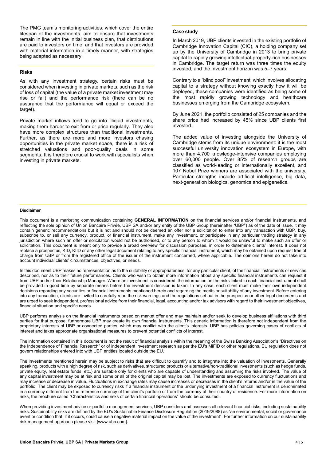The PMG team's monitoring activities, which cover the entire lifespan of the investments, aim to ensure that investments remain in line with the initial business plan, that distributions are paid to investors on time, and that investors are provided with material information in a timely manner, with strategies being adapted as necessary.

#### **Risks**

As with any investment strategy, certain risks must be considered when investing in private markets, such as the risk of loss of capital (the value of a private market investment may rise or fall) and the performance risk (there can be no assurance that the performance will equal or exceed the target).

Private market inflows tend to go into illiquid investments, making them harder to exit from or price regularly. They also have more complex structures than traditional investments. Further, as there are more and more investors chasing opportunities in the private market space, there is a risk of stretched valuations and poor-quality deals in some segments. It is therefore crucial to work with specialists when investing in private markets.

# **Case study**

In March 2019, UBP clients invested in the existing portfolio of Cambridge Innovation Capital (CIC), a holding company set up by the University of Cambridge in 2013 to bring private capital to rapidly growing intellectual-property-rich businesses in Cambridge. The target return was three times the equity invested, and the investment horizon was 5–7 years.

Contrary to a "blind pool" investment, which involves allocating capital to a strategy without knowing exactly how it will be deployed, these companies were identified as being some of the most rapidly growing technology and healthcare businesses emerging from the Cambridge ecosystem.

By June 2021, the portfolio consisted of 25 companies and the share price had increased by 45% since UBP clients first invested.

The added value of investing alongside the University of Cambridge stems from its unique environment: it is the most successful university innovation ecosystem in Europe, with more than 4,700 knowledge-intensive companies employing over 60,000 people. Over 85% of research groups are classified as world-leading or internationally excellent, and 107 Nobel Prize winners are associated with the university. Particular strengths include artificial intelligence, big data, next-generation biologics, genomics and epigenetics.

#### **Disclaimer**

This document is a marketing communication containing **GENERAL INFORMATION** on the financial services and/or financial instruments, and reflecting the sole opinion of Union Bancaire Privée, UBP SA and/or any entity of the UBP Group (hereinafter "UBP") as of the date of issue. It may contain generic recommendations but it is not and should not be deemed an offer nor a solicitation to enter into any transaction with UBP, buy, subscribe to, or sell any currency, product, or financial instrument, make any investment, or participate in any particular trading strategy in any jurisdiction where such an offer or solicitation would not be authorised, or to any person to whom it would be unlawful to make such an offer or solicitation. This document is meant only to provide a broad overview for discussion purposes, in order to determine clients' interest. It does not replace a prospectus, KID, KIID or any other legal document relating to any specific financial instrument, which may be obtained upon request free of charge from UBP or from the registered office of the issuer of the instrument concerned, where applicable. The opinions herein do not take into account individual clients' circumstances, objectives, or needs.

In this document UBP makes no representation as to the suitability or appropriateness, for any particular client, of the financial instruments or services described, nor as to their future performances. Clients who wish to obtain more information about any specific financial instruments can request it from UBP and/or their Relationship Manager. Where an investment is considered, the information on the risks linked to each financial instrument shall be provided in good time by separate means before the investment decision is taken. In any case, each client must make their own independent decisions regarding any securities or financial instruments mentioned herein and regarding the merits or suitability of any investment. Before entering into any transaction, clients are invited to carefully read the risk warnings and the regulations set out in the prospectus or other legal documents and are urged to seek independent, professional advice from their financial, legal, accounting and/or tax advisors with regard to their investment objectives, financial situation and specific needs.

UBP performs analysis on the financial instruments based on market offer and may maintain and/or seek to develop business affiliations with third parties for that purpose; furthermore UBP may create its own financial instruments. This generic information is therefore not independent from the proprietary interests of UBP or connected parties, which may conflict with the client's interests. UBP has policies governing cases of conflicts of interest and takes appropriate organisational measures to prevent potential conflicts of interest.

The information contained in this document is not the result of financial analysis within the meaning of the Swiss Banking Association's "Directives on the Independence of Financial Research" or of independent investment research as per the EU's MiFID or other regulations. EU regulation does not govern relationships entered into with UBP entities located outside the EU.

The investments mentioned herein may be subject to risks that are difficult to quantify and to integrate into the valuation of investments. Generally speaking, products with a high degree of risk, such as derivatives, structured products or alternative/non-traditional investments (such as hedge funds, private equity, real estate funds, etc.) are suitable only for clients who are capable of understanding and assuming the risks involved. The value of any capital investment may be at risk and some or all of the original capital may be lost. The investments are exposed to currency fluctuations and may increase or decrease in value. Fluctuations in exchange rates may cause increases or decreases in the client's returns and/or in the value of the portfolio. The client may be exposed to currency risks if a financial instrument or the underlying investment of a financial instrument is denominated in a currency different from the reference currency of the client's portfolio or from the currency of their country of residence. For more information on risks, the brochure called "Characteristics and risks of certain financial operations" should be consulted.

When providing investment advice or portfolio management services, UBP considers and assesses all relevant financial risks, including sustainability risks. Sustainability risks are defined by the EU's Sustainable Finance Disclosure Regulation (2019/2088) as "an environmental, social or governance event or condition that, if it occurs, could cause a negative material impact on the value of the investment". For further information on our sustainability risk management approach please visit [www.ubp.com].